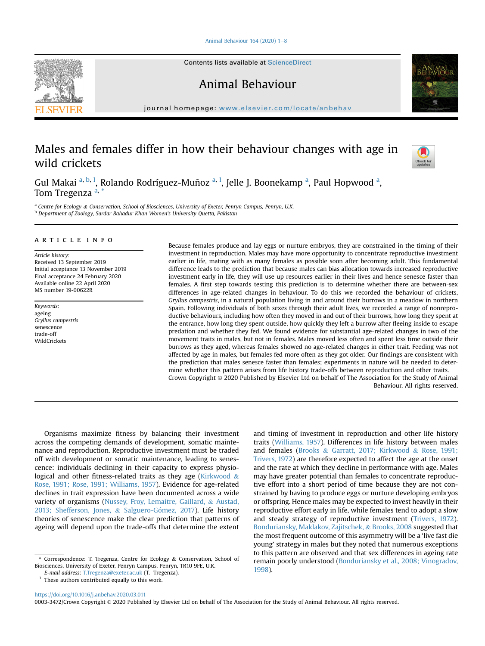Animal Behaviour 164 (2020)  $1-8$  $1-8$ 

Contents lists available at ScienceDirect

Animal Behaviour

journal homepage: [www.elsevier.com/locate/anbehav](http://www.elsevier.com/locate/anbehav)

# Males and females differ in how their behaviour changes with age in wild crickets



Gul M[a](#page-0-0)kai <sup>a, [b](#page-0-1), [1](#page-0-2)</sup>, Rolando Rodríguez-Muñoz <sup>[a,](#page-0-0) 1</sup>, Jelle J. Boonekamp <sup>a</sup>, Paul Hopwood <sup>a</sup>, Tom Tregenz[a](#page-0-0)<sup>a,[\\*](#page-0-3)</sup>

<span id="page-0-1"></span><span id="page-0-0"></span><sup>a</sup> Centre for Ecology & Conservation, School of Biosciences, University of Exeter, Penryn Campus, Penryn, U.K. <sup>b</sup> Department of Zoology, Sardar Bahadur Khan Women's University Quetta, Pakistan

# article info

Article history: Received 13 September 2019 Initial acceptance 13 November 2019 Final acceptance 24 February 2020 Available online 22 April 2020 MS number 19-00622R

Keywords: ageing Gryllus campestris senescence trade-off **WildCrickets** 

Because females produce and lay eggs or nurture embryos, they are constrained in the timing of their investment in reproduction. Males may have more opportunity to concentrate reproductive investment earlier in life, mating with as many females as possible soon after becoming adult. This fundamental difference leads to the prediction that because males can bias allocation towards increased reproductive investment early in life, they will use up resources earlier in their lives and hence senesce faster than females. A first step towards testing this prediction is to determine whether there are between-sex differences in age-related changes in behaviour. To do this we recorded the behaviour of crickets, Gryllus campestris, in a natural population living in and around their burrows in a meadow in northern Spain. Following individuals of both sexes through their adult lives, we recorded a range of nonreproductive behaviours, including how often they moved in and out of their burrows, how long they spent at the entrance, how long they spent outside, how quickly they left a burrow after fleeing inside to escape predation and whether they fed. We found evidence for substantial age-related changes in two of the movement traits in males, but not in females. Males moved less often and spent less time outside their burrows as they aged, whereas females showed no age-related changes in either trait. Feeding was not affected by age in males, but females fed more often as they got older. Our findings are consistent with the prediction that males senesce faster than females; experiments in nature will be needed to determine whether this pattern arises from life history trade-offs between reproduction and other traits. Crown Copyright © 2020 Published by Elsevier Ltd on behalf of The Association for the Study of Animal Behaviour. All rights reserved.

Organisms maximize fitness by balancing their investment across the competing demands of development, somatic maintenance and reproduction. Reproductive investment must be traded off with development or somatic maintenance, leading to senescence: individuals declining in their capacity to express physio-logical and other fitness-related traits as they age ([Kirkwood](#page-7-0)  $\&$ [Rose, 1991; Rose, 1991; Williams, 1957\)](#page-7-0). Evidence for age-related declines in trait expression have been documented across a wide variety of organisms ([Nussey, Froy, Lemaitre, Gaillard,](#page-7-1) & [Austad,](#page-7-1) [2013; Shefferson, Jones,](#page-7-1) & [Salguero-G](#page-7-1)ó[mez, 2017](#page-7-1)). Life history theories of senescence make the clear prediction that patterns of ageing will depend upon the trade-offs that determine the extent

<span id="page-0-2"></span> $1$  These authors contributed equally to this work.

and timing of investment in reproduction and other life history traits ([Williams, 1957](#page-7-2)). Differences in life history between males and females ([Brooks](#page-7-3) & [Garratt, 2017; Kirkwood](#page-7-3) & [Rose, 1991;](#page-7-3) [Trivers, 1972](#page-7-3)) are therefore expected to affect the age at the onset and the rate at which they decline in performance with age. Males may have greater potential than females to concentrate reproductive effort into a short period of time because they are not constrained by having to produce eggs or nurture developing embryos or offspring. Hence males may be expected to invest heavily in their reproductive effort early in life, while females tend to adopt a slow and steady strategy of reproductive investment [\(Trivers, 1972\)](#page-7-4). [Bonduriansky, Maklakov, Zajitschek,](#page-6-0) & [Brooks, 2008](#page-6-0) suggested that the most frequent outcome of this asymmetry will be a 'live fast die young' strategy in males but they noted that numerous exceptions to this pattern are observed and that sex differences in ageing rate remain poorly understood [\(Bonduriansky et al., 2008; Vinogradov,](#page-6-0) [1998\)](#page-6-0).

<https://doi.org/10.1016/j.anbehav.2020.03.011>

0003-3472/Crown Copyright © 2020 Published by Elsevier Ltd on behalf of The Association for the Study of Animal Behaviour. All rights reserved.

<span id="page-0-3"></span><sup>\*</sup> Correspondence: T. Tregenza, Centre for Ecology & Conservation, School of Biosciences, University of Exeter, Penryn Campus, Penryn, TR10 9FE, U.K.

E-mail address: [T.Tregenza@exeter.ac.uk](mailto:Tregenza@exeter.ac.uk) (T. Tregenza).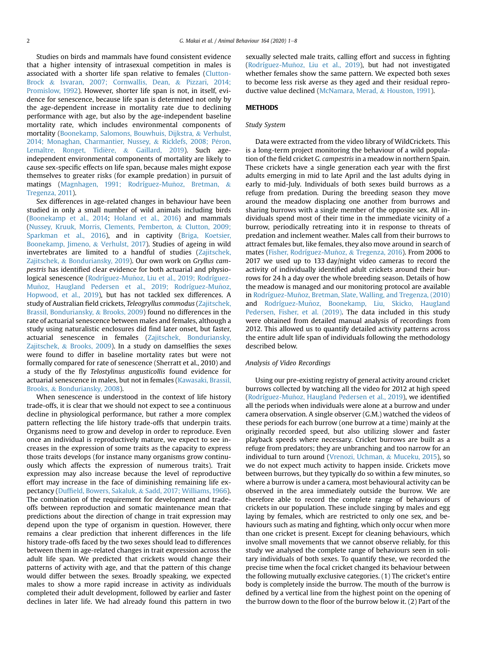Studies on birds and mammals have found consistent evidence that a higher intensity of intrasexual competition in males is associated with a shorter life span relative to females ([Clutton-](#page-7-5)[Brock](#page-7-5) & [Isvaran, 2007; Cornwallis, Dean,](#page-7-5) & [Pizzari, 2014;](#page-7-5) [Promislow, 1992\)](#page-7-5). However, shorter life span is not, in itself, evidence for senescence, because life span is determined not only by the age-dependent increase in mortality rate due to declining performance with age, but also by the age-independent baseline mortality rate, which includes environmental components of mortality ([Boonekamp, Salomons, Bouwhuis, Dijkstra,](#page-6-1) & [Verhulst,](#page-6-1) [2014; Monaghan, Charmantier, Nussey,](#page-6-1) & Ricklefs, 2008; Péron, Lemaître, Ronget, Tidière, & [Gaillard, 2019](#page-6-1)). Such ageindependent environmental components of mortality are likely to cause sex-specific effects on life span, because males might expose themselves to greater risks (for example predation) in pursuit of matings (Magnhagen, 1991; Rodríguez-Muñoz, Bretman, & [Tregenza, 2011](#page-7-6)).

Sex differences in age-related changes in behaviour have been studied in only a small number of wild animals including birds ([Boonekamp et al., 2014](#page-6-1); [Holand et al., 2016](#page-7-7)) and mammals ([Nussey, Kruuk, Morris, Clements, Pemberton,](#page-7-8) & [Clutton, 2009;](#page-7-8) [Sparkman et al., 2016\)](#page-7-8), and in captivity ([Briga, Koetsier,](#page-6-2) [Boonekamp, Jimeno,](#page-6-2) & [Verhulst, 2017](#page-6-2)). Studies of ageing in wild invertebrates are limited to a handful of studies ([Zajitschek,](#page-7-9) [Zajitschek,](#page-7-9) & [Bonduriansky, 2019](#page-7-9)). Our own work on Gryllus campestris has identified clear evidence for both actuarial and physiological senescence (Rodríguez-Muñoz, Liu et al., 2019; Rodríguez-Muñoz, Haugland Pedersen et al., 2019; Rodríguez-Muñoz, [Hopwood, et al., 2019](#page-7-10)), but has not tackled sex differences. A study of Australian field crickets, Teleogryllus commodus ([Zajitschek,](#page-7-11) [Brassil, Bonduriansky,](#page-7-11) & [Brooks, 2009\)](#page-7-11) found no differences in the rate of actuarial senescence between males and females, although a study using naturalistic enclosures did find later onset, but faster, actuarial senescence in females ([Zajitschek, Bonduriansky,](#page-7-12) [Zajitschek,](#page-7-12) & [Brooks, 2009\)](#page-7-12). In a study on damselflies the sexes were found to differ in baseline mortality rates but were not formally compared for rate of senescence (Sherratt et al., 2010) and a study of the fly Telostylinus angusticollis found evidence for actuarial senescence in males, but not in females [\(Kawasaki, Brassil,](#page-7-13) [Brooks,](#page-7-13) & [Bonduriansky, 2008](#page-7-13)).

When senescence is understood in the context of life history trade-offs, it is clear that we should not expect to see a continuous decline in physiological performance, but rather a more complex pattern reflecting the life history trade-offs that underpin traits. Organisms need to grow and develop in order to reproduce. Even once an individual is reproductively mature, we expect to see increases in the expression of some traits as the capacity to express those traits develops (for instance many organisms grow continuously which affects the expression of numerous traits). Trait expression may also increase because the level of reproductive effort may increase in the face of diminishing remaining life expectancy (Duffi[eld, Bowers, Sakaluk,](#page-7-14) & [Sadd, 2017; Williams, 1966\)](#page-7-14). The combination of the requirement for development and tradeoffs between reproduction and somatic maintenance mean that predictions about the direction of change in trait expression may depend upon the type of organism in question. However, there remains a clear prediction that inherent differences in the life history trade-offs faced by the two sexes should lead to differences between them in age-related changes in trait expression across the adult life span. We predicted that crickets would change their patterns of activity with age, and that the pattern of this change would differ between the sexes. Broadly speaking, we expected males to show a more rapid increase in activity as individuals completed their adult development, followed by earlier and faster declines in later life. We had already found this pattern in two sexually selected male traits, calling effort and success in fighting (Rodríguez-Muñoz, Liu et al., 2019), but had not investigated whether females show the same pattern. We expected both sexes to become less risk averse as they aged and their residual reproductive value declined [\(McNamara, Merad,](#page-7-15) & [Houston, 1991](#page-7-15)).

## METHODS

## Study System

Data were extracted from the video library of WildCrickets. This is a long-term project monitoring the behaviour of a wild population of the field cricket G. campestris in a meadow in northern Spain. These crickets have a single generation each year with the first adults emerging in mid to late April and the last adults dying in early to mid-July. Individuals of both sexes build burrows as a refuge from predation. During the breeding season they move around the meadow displacing one another from burrows and sharing burrows with a single member of the opposite sex. All individuals spend most of their time in the immediate vicinity of a burrow, periodically retreating into it in response to threats of predation and inclement weather. Males call from their burrows to attract females but, like females, they also move around in search of mates (Fisher, Rodríguez-Muñoz, & [Tregenza, 2016](#page-7-16)). From 2006 to 2017 we used up to 133 day/night video cameras to record the activity of individually identified adult crickets around their burrows for 24 h a day over the whole breeding season. Details of how the meadow is managed and our monitoring protocol are available in Rodríguez-Muñoz, Bretman, Slate, Walling, and Tregenza, (2010) and Rodríguez-Muñoz, Boonekamp, Liu, Skicko, Haugland [Pedersen, Fisher, et al. \(2019\).](#page-7-10) The data included in this study were obtained from detailed manual analysis of recordings from 2012. This allowed us to quantify detailed activity patterns across the entire adult life span of individuals following the methodology described below.

#### Analysis of Video Recordings

Using our pre-existing registry of general activity around cricket burrows collected by watching all the video for 2012 at high speed (Rodríguez-Muñoz, Haugland Pedersen et al., 2019), we identified all the periods when individuals were alone at a burrow and under camera observation. A single observer (G.M.) watched the videos of these periods for each burrow (one burrow at a time) mainly at the originally recorded speed, but also utilizing slower and faster playback speeds where necessary. Cricket burrows are built as a refuge from predators; they are unbranching and too narrow for an individual to turn around ([Vrenozi, Uchman,](#page-7-19) & [Muceku, 2015\)](#page-7-19), so we do not expect much activity to happen inside. Crickets move between burrows, but they typically do so within a few minutes, so where a burrow is under a camera, most behavioural activity can be observed in the area immediately outside the burrow. We are therefore able to record the complete range of behaviours of crickets in our population. These include singing by males and egg laying by females, which are restricted to only one sex, and behaviours such as mating and fighting, which only occur when more than one cricket is present. Except for cleaning behaviours, which involve small movements that we cannot observe reliably, for this study we analysed the complete range of behaviours seen in solitary individuals of both sexes. To quantify these, we recorded the precise time when the focal cricket changed its behaviour between the following mutually exclusive categories. (1) The cricket's entire body is completely inside the burrow. The mouth of the burrow is defined by a vertical line from the highest point on the opening of the burrow down to the floor of the burrow below it. (2) Part of the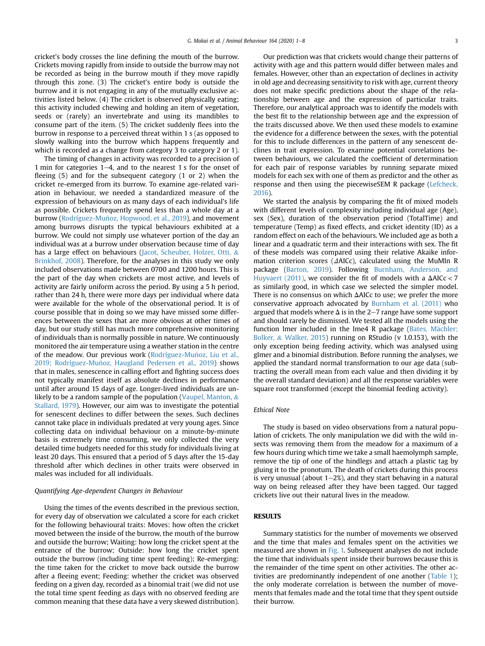cricket's body crosses the line defining the mouth of the burrow. Crickets moving rapidly from inside to outside the burrow may not be recorded as being in the burrow mouth if they move rapidly through this zone. (3) The cricket's entire body is outside the burrow and it is not engaging in any of the mutually exclusive activities listed below. (4) The cricket is observed physically eating; this activity included chewing and holding an item of vegetation, seeds or (rarely) an invertebrate and using its mandibles to consume part of the item. (5) The cricket suddenly flees into the burrow in response to a perceived threat within 1 s (as opposed to slowly walking into the burrow which happens frequently and which is recorded as a change from category 3 to category 2 or 1).

The timing of changes in activity was recorded to a precision of 1 min for categories  $1-4$ , and to the nearest 1 s for the onset of fleeing (5) and for the subsequent category (1 or 2) when the cricket re-emerged from its burrow. To examine age-related variation in behaviour, we needed a standardized measure of the expression of behaviours on as many days of each individual's life as possible. Crickets frequently spend less than a whole day at a burrow (Rodríguez-Muñoz, Hopwood, et al., 2019), and movement among burrows disrupts the typical behaviours exhibited at a burrow. We could not simply use whatever portion of the day an individual was at a burrow under observation because time of day has a large effect on behaviours [\(Jacot, Scheuber, Holzer, Otti,](#page-7-21) & [Brinkhof, 2008](#page-7-21)). Therefore, for the analyses in this study we only included observations made between 0700 and 1200 hours. This is the part of the day when crickets are most active, and levels of activity are fairly uniform across the period. By using a 5 h period, rather than 24 h, there were more days per individual where data were available for the whole of the observational period. It is of course possible that in doing so we may have missed some differences between the sexes that are more obvious at other times of day, but our study still has much more comprehensive monitoring of individuals than is normally possible in nature. We continuously monitored the air temperature using a weather station in the centre of the meadow. Our previous work (Rodríguez-Muñoz, Liu et al., 2019; Rodríguez-Muñoz, Haugland Pedersen et al., 2019) shows that in males, senescence in calling effort and fighting success does not typically manifest itself as absolute declines in performance until after around 15 days of age. Longer-lived individuals are un-likely to be a random sample of the population [\(Vaupel, Manton,](#page-7-22) & [Stallard, 1979\)](#page-7-22). However, our aim was to investigate the potential for senescent declines to differ between the sexes. Such declines cannot take place in individuals predated at very young ages. Since collecting data on individual behaviour on a minute-by-minute basis is extremely time consuming, we only collected the very detailed time budgets needed for this study for individuals living at least 20 days. This ensured that a period of 5 days after the 15-day threshold after which declines in other traits were observed in males was included for all individuals.

## Quantifying Age-dependent Changes in Behaviour

Using the times of the events described in the previous section, for every day of observation we calculated a score for each cricket for the following behavioural traits: Moves: how often the cricket moved between the inside of the burrow, the mouth of the burrow and outside the burrow; Waiting: how long the cricket spent at the entrance of the burrow; Outside: how long the cricket spent outside the burrow (including time spent feeding); Re-emerging: the time taken for the cricket to move back outside the burrow after a fleeing event; Feeding: whether the cricket was observed feeding on a given day, recorded as a binomial trait (we did not use the total time spent feeding as days with no observed feeding are common meaning that these data have a very skewed distribution).

Our prediction was that crickets would change their patterns of activity with age and this pattern would differ between males and females. However, other than an expectation of declines in activity in old age and decreasing sensitivity to risk with age, current theory does not make specific predictions about the shape of the relationship between age and the expression of particular traits. Therefore, our analytical approach was to identify the models with the best fit to the relationship between age and the expression of the traits discussed above. We then used these models to examine the evidence for a difference between the sexes, with the potential for this to include differences in the pattern of any senescent declines in trait expression. To examine potential correlations between behaviours, we calculated the coefficient of determination for each pair of response variables by running separate mixed models for each sex with one of them as predictor and the other as response and then using the piecewiseSEM R package ([Lefcheck,](#page-7-23) [2016\)](#page-7-23).

We started the analysis by comparing the fit of mixed models with different levels of complexity including individual age (Age), sex (Sex), duration of the observation period (TotalTime) and temperature (Temp) as fixed effects, and cricket identity (ID) as a random effect on each of the behaviours. We included age as both a linear and a quadratic term and their interactions with sex. The fit of these models was compared using their relative Akaike information criterion scores ( $\triangle$ AICc), calculated using the MuMIn R package ([Barton, 2019\)](#page-6-3). Following [Burnham, Anderson, and](#page-7-24) [Huyvaert \(2011\)](#page-7-24), we consider the fit of models with a  $\Delta AICc < 7$ as similarly good, in which case we selected the simpler model. There is no consensus on which  $\Delta$ AICc to use; we prefer the more conservative approach advocated by [Burnham et al. \(2011\)](#page-7-24) who argued that models where  $\Delta$  is in the 2–7 range have some support and should rarely be dismissed. We tested all the models using the function lmer included in the lme4 R package (Bates, Mächler; [Bolker,](#page-6-4) & [Walker, 2015](#page-6-4)) running on RStudio (v 1.0.153), with the only exception being feeding activity, which was analysed using glmer and a binomial distribution. Before running the analyses, we applied the standard normal transformation to our age data (subtracting the overall mean from each value and then dividing it by the overall standard deviation) and all the response variables were square root transformed (except the binomial feeding activity).

### Ethical Note

The study is based on video observations from a natural population of crickets. The only manipulation we did with the wild insects was removing them from the meadow for a maximum of a few hours during which time we take a small haemolymph sample, remove the tip of one of the hindlegs and attach a plastic tag by gluing it to the pronotum. The death of crickets during this process is very unusual (about  $1-2\%$ ), and they start behaving in a natural way on being released after they have been tagged. Our tagged crickets live out their natural lives in the meadow.

# **RESULTS**

Summary statistics for the number of movements we observed and the time that males and females spent on the activities we measured are shown in [Fig. 1.](#page-3-0) Subsequent analyses do not include the time that individuals spent inside their burrows because this is the remainder of the time spent on other activities. The other activities are predominantly independent of one another ([Table 1\)](#page-4-0); the only moderate correlation is between the number of movements that females made and the total time that they spent outside their burrow.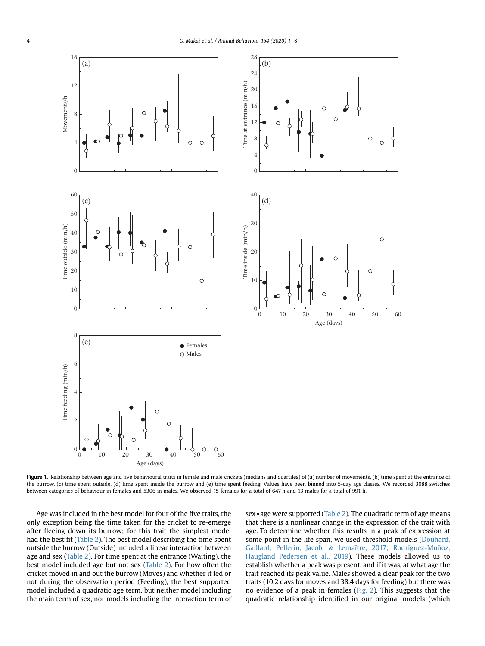<span id="page-3-0"></span>

Figure 1. Relationship between age and five behavioural traits in female and male crickets (medians and quartiles) of (a) number of movements, (b) time spent at the entrance of the burrow, (c) time spent outside, (d) time spent inside the burrow and (e) time spent feeding. Values have been binned into 5-day age classes. We recorded 3088 switches between categories of behaviour in females and 5306 in males. We observed 15 females for a total of 647 h and 13 males for a total of 991 h.

Age was included in the best model for four of the five traits, the only exception being the time taken for the cricket to re-emerge after fleeing down its burrow; for this trait the simplest model had the best fit ([Table 2](#page-4-1)). The best model describing the time spent outside the burrow (Outside) included a linear interaction between age and sex ([Table 2\)](#page-4-1). For time spent at the entrance (Waiting), the best model included age but not sex [\(Table 2\)](#page-4-1). For how often the cricket moved in and out the burrow (Moves) and whether it fed or not during the observation period (Feeding), the best supported model included a quadratic age term, but neither model including the main term of sex, nor models including the interaction term of sex \* age were supported [\(Table 2\)](#page-4-1). The quadratic term of age means that there is a nonlinear change in the expression of the trait with age. To determine whether this results in a peak of expression at some point in the life span, we used threshold models [\(Douhard,](#page-7-25) [Gaillard, Pellerin, Jacob,](#page-7-25) & Lemaître, 2017; Rodríguez-Muñoz, [Haugland Pedersen et al., 2019](#page-7-25)). These models allowed us to establish whether a peak was present, and if it was, at what age the trait reached its peak value. Males showed a clear peak for the two traits (10.2 days for moves and 38.4 days for feeding) but there was no evidence of a peak in females [\(Fig. 2](#page-4-2)). This suggests that the quadratic relationship identified in our original models (which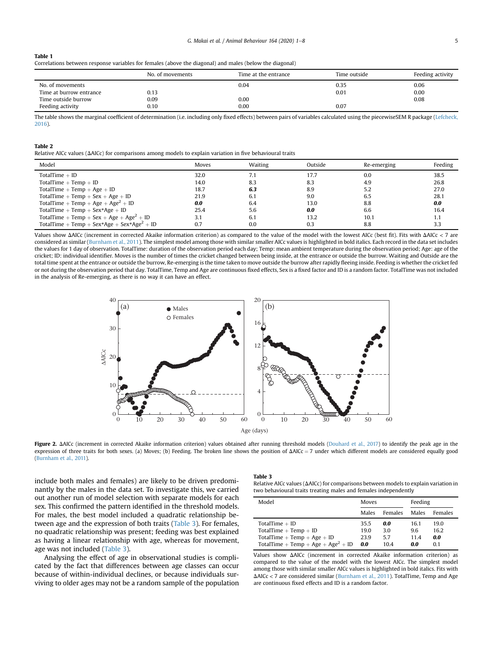<span id="page-4-0"></span>

| <b>Table 1</b>                                                                                          |
|---------------------------------------------------------------------------------------------------------|
| Correlations between response variables for females (above the diagonal) and males (below the diagonal) |

|                         | No. of movements | Time at the entrance | Time outside | Feeding activity |
|-------------------------|------------------|----------------------|--------------|------------------|
| No. of movements        |                  | 0.04                 | 0.35         | 0.06             |
| Time at burrow entrance | 0.13             |                      | 0.01         | 0.00             |
| Time outside burrow     | 0.09             | 0.00                 |              | 0.08             |
| Feeding activity        | 0.10             | 0.00                 | 0.07         |                  |

The table shows the marginal coefficient of determination (i.e. including only fixed effects) between pairs of variables calculated using the piecewiseSEM R package ([Lefcheck,](#page-7-23) [2016\)](#page-7-23).

## <span id="page-4-1"></span>Table 2

Relative AICc values ( $\triangle$ AICc) for comparisons among models to explain variation in five behavioural traits

| Model                                                  | Moves | Waiting | Outside | Re-emerging | Feeding |
|--------------------------------------------------------|-------|---------|---------|-------------|---------|
| TotalTime $+$ ID                                       | 32.0  | 7.1     | 17.7    | 0.0         | 38.5    |
| TotalTime $+$ Temp $+$ ID                              | 14.0  | 8.3     | 8.3     | 4.9         | 26.8    |
| TotalTime + Temp + Age + ID                            | 18.7  | 6.3     | 8.9     | 5.2         | 27.0    |
| TotalTime + Temp + Sex + Age + ID                      | 21.9  | 6.1     | 9.0     | 6.5         | 28.1    |
| TotalTime + Temp + Age + Age <sup>2</sup> + ID         | 0.0   | 6.4     | 13.0    | 8.8         | 0.0     |
| TotalTime + Temp + $Sex*Age + ID$                      | 25.4  | 5.6     | 0.0     | 6.6         | 16.4    |
| TotalTime + Temp + Sex + Age + Age <sup>2</sup> + ID   | 3.1   | 6.1     | 13.2    | 10.1        | 1.1     |
| TotalTime + Temp + Sex*Age + Sex*Age <sup>2</sup> + ID | 0.7   | 0.0     | 0.3     | 8.8         | 3.3     |

<span id="page-4-2"></span>Values show  $\Delta$ AICc (increment in corrected Akaike information criterion) as compared to the value of the model with the lowest AICc (best fit). Fits with  $\Delta$ AICc < 7 are considered as similar [\(Burnham et al., 2011\)](#page-7-24). The simplest model among those with similar smaller AICc values is highlighted in bold italics. Each record in the data set includes the values for 1 day of observation. TotalTime: duration of the observation period each day; Temp: mean ambient temperature during the observation period; Age: age of the cricket; ID: individual identifier. Moves is the number of times the cricket changed between being inside, at the entrance or outside the burrow. Waiting and Outside are the total time spent at the entrance or outside the burrow, Re-emerging is the time taken to move outside the burrow after rapidly fleeing inside. Feeding is whether the cricket fed or not during the observation period that day. TotalTime, Temp and Age are continuous fixed effects, Sex is a fixed factor and ID is a random factor. TotalTime was not included in the analysis of Re-emerging, as there is no way it can have an effect.



Figure 2. AAICc (increment in corrected Akaike information criterion) values obtained after running threshold models ([Douhard et al., 2017\)](#page-7-25) to identify the peak age in the expression of three traits for both sexes. (a) Moves; (b) Feeding. The broken line shows the position of  $\Delta$ AICc = 7 under which different models are considered equally good ([Burnham et al., 2011\)](#page-7-24).

include both males and females) are likely to be driven predominantly by the males in the data set. To investigate this, we carried out another run of model selection with separate models for each sex. This confirmed the pattern identified in the threshold models. For males, the best model included a quadratic relationship between age and the expression of both traits [\(Table 3\)](#page-4-3). For females, no quadratic relationship was present; feeding was best explained as having a linear relationship with age, whereas for movement, age was not included [\(Table 3\)](#page-4-3).

Analysing the effect of age in observational studies is complicated by the fact that differences between age classes can occur because of within-individual declines, or because individuals surviving to older ages may not be a random sample of the population

## <span id="page-4-3"></span>Table 3

Relative AICc values ( $\Delta$ AICc) for comparisons between models to explain variation in two behavioural traits treating males and females independently

| Model                                                                                                                          | Moves                       |                           | Feeding                    |                            |
|--------------------------------------------------------------------------------------------------------------------------------|-----------------------------|---------------------------|----------------------------|----------------------------|
|                                                                                                                                | Males                       | Females                   | Males                      | Females                    |
| TotalTime $+$ ID<br>TotalTime $+$ Temp $+$ ID<br>TotalTime + Temp + Age + ID<br>TotalTime + Temp + Age + Age <sup>2</sup> + ID | 35.5<br>19.0<br>23.9<br>0.0 | 0.0<br>3.0<br>5.7<br>10.4 | 16.1<br>9.6<br>11.4<br>0.0 | 19.0<br>16.2<br>0.0<br>0.1 |

Values show  $\Delta$ AICc (increment in corrected Akaike information criterion) as compared to the value of the model with the lowest AICc. The simplest model among those with similar smaller AICc values is highlighted in bold italics. Fits with  $\Delta AICc < 7$  are considered similar [\(Burnham et al., 2011\)](#page-7-24). TotalTime, Temp and Age are continuous fixed effects and ID is a random factor.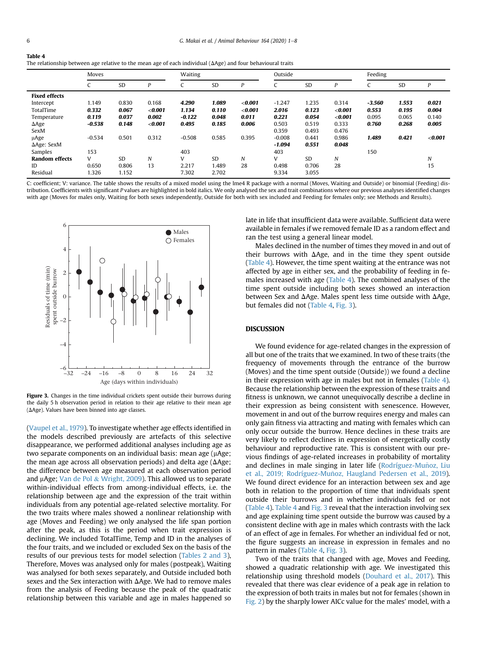<span id="page-5-0"></span>Table 4

|                       | Moves    |           | <b>Waiting</b> |          | Outside   |           |          | Feeding   |           |          |       |           |
|-----------------------|----------|-----------|----------------|----------|-----------|-----------|----------|-----------|-----------|----------|-------|-----------|
|                       |          | <b>SD</b> | D              |          | <b>SD</b> | p         |          | SD        | D         |          | SD    | D         |
| <b>Fixed effects</b>  |          |           |                |          |           |           |          |           |           |          |       |           |
| Intercept             | 1.149    | 0.830     | 0.168          | 4.290    | 1.089     | $<$ 0.001 | $-1.247$ | 1.235     | 0.314     | $-3.560$ | 1.553 | 0.021     |
| TotalTime             | 0.332    | 0.067     | < 0.001        | 1.134    | 0.110     | $<$ 0.001 | 2.016    | 0.123     | < 0.001   | 0.553    | 0.195 | 0.004     |
| Temperature           | 0.119    | 0.037     | 0.002          | $-0.122$ | 0.048     | 0.011     | 0.221    | 0.054     | $<$ 0.001 | 0.095    | 0.065 | 0.140     |
| $\Delta$ Age          | $-0.538$ | 0.148     | < 0.001        | 0.495    | 0.185     | 0.006     | 0.503    | 0.519     | 0.333     | 0.760    | 0.268 | 0.005     |
| SexM                  |          |           |                |          |           |           | 0.359    | 0.493     | 0.476     |          |       |           |
| µAge                  | $-0.534$ | 0.501     | 0.312          | $-0.508$ | 0.585     | 0.395     | $-0.008$ | 0.441     | 0.986     | 1.489    | 0.421 | $<$ 0.001 |
| $\Delta$ Age: SexM    |          |           |                |          |           |           | $-1.094$ | 0.551     | 0.048     |          |       |           |
| Samples               | 153      |           |                | 403      |           |           | 403      |           |           | 150      |       |           |
| <b>Random effects</b> | V        | <b>SD</b> | N              | V        | <b>SD</b> | N         | V        | <b>SD</b> | N         |          |       | N         |
| ID                    | 0.650    | 0.806     | 13             | 2.217    | 1.489     | 28        | 0.498    | 0.706     | 28        |          |       | 15        |
| Residual              | 1.326    | 1.152     |                | 7.302    | 2.702     |           | 9.334    | 3.055     |           |          |       |           |

|  | The relationship between age relative to the mean age of each individual $(\Delta Age)$ and four behavioural traits |
|--|---------------------------------------------------------------------------------------------------------------------|

C: coefficient; V: variance. The table shows the results of a mixed model using the lme4 R package with a normal (Moves, Waiting and Outside) or binomial (Feeding) distribution. Coefficients with significant P values are highlighted in bold italics. We only analysed the sex and trait combinations where our previous analyses identified changes with age (Moves for males only, Waiting for both sexes independently, Outside for both with sex included and Feeding for females only; see Methods and Results).

<span id="page-5-1"></span>

Figure 3. Changes in the time individual crickets spent outside their burrows during the daily 5 h observation period in relation to their age relative to their mean age  $(\Delta A \epsilon e)$ . Values have been binned into age classes.

([Vaupel et al., 1979](#page-7-22)). To investigate whether age effects identified in the models described previously are artefacts of this selective disappearance, we performed additional analyses including age as two separate components on an individual basis: mean age ( $\mu$ Age; the mean age across all observation periods) and delta age ( $\Delta$ Age; the difference between age measured at each observation period and  $\mu$ Age; [Van de Pol](#page-7-26) & [Wright, 2009](#page-7-26)). This allowed us to separate within-individual effects from among-individual effects, i.e. the relationship between age and the expression of the trait within individuals from any potential age-related selective mortality. For the two traits where males showed a nonlinear relationship with age (Moves and Feeding) we only analysed the life span portion after the peak, as this is the period when trait expression is declining. We included TotalTime, Temp and ID in the analyses of the four traits, and we included or excluded Sex on the basis of the results of our previous tests for model selection [\(Tables 2 and 3\)](#page-4-1), Therefore, Moves was analysed only for males (postpeak), Waiting was analysed for both sexes separately, and Outside included both sexes and the Sex interaction with  $\Delta$ Age. We had to remove males from the analysis of Feeding because the peak of the quadratic relationship between this variable and age in males happened so

late in life that insufficient data were available. Sufficient data were available in females if we removed female ID as a random effect and ran the test using a general linear model.

Males declined in the number of times they moved in and out of their burrows with  $\Delta$ Age, and in the time they spent outside ([Table 4\)](#page-5-0). However, the time spent waiting at the entrance was not affected by age in either sex, and the probability of feeding in females increased with age [\(Table 4\)](#page-5-0). The combined analyses of the time spent outside including both sexes showed an interaction between Sex and  $\Delta$ Age. Males spent less time outside with  $\Delta$ Age, but females did not [\(Table 4](#page-5-0), [Fig. 3](#page-5-1)).

## DISCUSSION

We found evidence for age-related changes in the expression of all but one of the traits that we examined. In two of these traits (the frequency of movements through the entrance of the burrow (Moves) and the time spent outside (Outside)) we found a decline in their expression with age in males but not in females ([Table 4\)](#page-5-0). Because the relationship between the expression of these traits and fitness is unknown, we cannot unequivocally describe a decline in their expression as being consistent with senescence. However, movement in and out of the burrow requires energy and males can only gain fitness via attracting and mating with females which can only occur outside the burrow. Hence declines in these traits are very likely to reflect declines in expression of energetically costly behaviour and reproductive rate. This is consistent with our previous findings of age-related increases in probability of mortality and declines in male singing in later life (Rodríguez-Muñoz, Liu et al., 2019; Rodríguez-Muñoz, Haugland Pedersen et al., 2019). We found direct evidence for an interaction between sex and age both in relation to the proportion of time that individuals spent outside their burrows and in whether individuals fed or not ([Table 4](#page-5-0)). [Table 4](#page-5-0) and [Fig. 3](#page-5-1) reveal that the interaction involving sex and age explaining time spent outside the burrow was caused by a consistent decline with age in males which contrasts with the lack of an effect of age in females. For whether an individual fed or not, the figure suggests an increase in expression in females and no pattern in males ([Table 4,](#page-5-0) [Fig. 3](#page-5-1)).

Two of the traits that changed with age, Moves and Feeding, showed a quadratic relationship with age. We investigated this relationship using threshold models [\(Douhard et al., 2017\)](#page-7-25). This revealed that there was clear evidence of a peak age in relation to the expression of both traits in males but not for females (shown in [Fig. 2\)](#page-4-2) by the sharply lower AICc value for the males' model, with a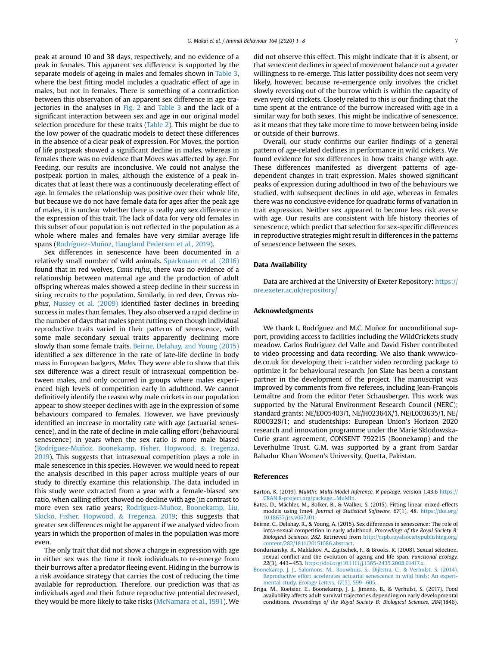peak at around 10 and 38 days, respectively, and no evidence of a peak in females. This apparent sex difference is supported by the separate models of ageing in males and females shown in [Table 3,](#page-4-3) where the best fitting model includes a quadratic effect of age in males, but not in females. There is something of a contradiction between this observation of an apparent sex difference in age trajectories in the analyses in [Fig. 2](#page-4-2) and [Table 3](#page-4-3) and the lack of a significant interaction between sex and age in our original model selection procedure for these traits [\(Table 2](#page-4-1)). This might be due to the low power of the quadratic models to detect these differences in the absence of a clear peak of expression. For Moves, the portion of life postpeak showed a significant decline in males, whereas in females there was no evidence that Moves was affected by age. For Feeding, our results are inconclusive. We could not analyse the postpeak portion in males, although the existence of a peak indicates that at least there was a continuously decelerating effect of age. In females the relationship was positive over their whole life, but because we do not have female data for ages after the peak age of males, it is unclear whether there is really any sex difference in the expression of this trait. The lack of data for very old females in this subset of our population is not reflected in the population as a whole where males and females have very similar average life spans (Rodríguez-Muñoz, Haugland Pedersen et al., 2019).

Sex differences in senescence have been documented in a relatively small number of wild animals. [Sparkmann et al. \(2016\)](#page-7-27) found that in red wolves, Canis rufus, there was no evidence of a relationship between maternal age and the production of adult offspring whereas males showed a steep decline in their success in siring recruits to the population. Similarly, in red deer, Cervus elaphus, [Nussey et al. \(2009\)](#page-7-8) identified faster declines in breeding success in males than females. They also observed a rapid decline in the number of days that males spent rutting even though individual reproductive traits varied in their patterns of senescence, with some male secondary sexual traits apparently declining more slowly than some female traits. [Beirne, Delahay, and Young \(2015\)](#page-6-5) identified a sex difference in the rate of late-life decline in body mass in European badgers, Meles. They were able to show that this sex difference was a direct result of intrasexual competition between males, and only occurred in groups where males experienced high levels of competition early in adulthood. We cannot definitively identify the reason why male crickets in our population appear to show steeper declines with age in the expression of some behaviours compared to females. However, we have previously identified an increase in mortality rate with age (actuarial senescence), and in the rate of decline in male calling effort (behavioural senescence) in years when the sex ratio is more male biased ([Rodríguez-Mu](#page-7-28)ñ[oz, Boonekamp, Fisher, Hopwood,](#page-7-28) & [Tregenza,](#page-7-28) [2019\)](#page-7-28). This suggests that intrasexual competition plays a role in male senescence in this species. However, we would need to repeat the analysis described in this paper across multiple years of our study to directly examine this relationship. The data included in this study were extracted from a year with a female-biased sex ratio, when calling effort showed no decline with age (in contrast to more even sex ratio years; Rodríguez-Muñoz, Boonekamp, Liu, [Skicko, Fisher, Hopwood,](#page-7-10) & [Tregenza, 2019](#page-7-10); this suggests that greater sex differences might be apparent if we analysed video from years in which the proportion of males in the population was more even.

The only trait that did not show a change in expression with age in either sex was the time it took individuals to re-emerge from their burrows after a predator fleeing event. Hiding in the burrow is a risk avoidance strategy that carries the cost of reducing the time available for reproduction. Therefore, our prediction was that as individuals aged and their future reproductive potential decreased, they would be more likely to take risks [\(McNamara et al., 1991](#page-7-15)). We did not observe this effect. This might indicate that it is absent, or that senescent declines in speed of movement balance out a greater willingness to re-emerge. This latter possibility does not seem very likely, however, because re-emergence only involves the cricket slowly reversing out of the burrow which is within the capacity of even very old crickets. Closely related to this is our finding that the time spent at the entrance of the burrow increased with age in a similar way for both sexes. This might be indicative of senescence, as it means that they take more time to move between being inside or outside of their burrows.

Overall, our study confirms our earlier findings of a general pattern of age-related declines in performance in wild crickets. We found evidence for sex differences in how traits change with age. These differences manifested as divergent patterns of agedependent changes in trait expression. Males showed significant peaks of expression during adulthood in two of the behaviours we studied, with subsequent declines in old age, whereas in females there was no conclusive evidence for quadratic forms of variation in trait expression. Neither sex appeared to become less risk averse with age. Our results are consistent with life history theories of senescence, which predict that selection for sex-specific differences in reproductive strategies might result in differences in the patterns of senescence between the sexes.

## Data Availability

Data are archived at the University of Exeter Repository: [https://](https://ore.exeter.ac.uk/repository/) [ore.exeter.ac.uk/repository/](https://ore.exeter.ac.uk/repository/)

## Acknowledgments

We thank L. Rodríguez and M.C. Muñoz for unconditional support, providing access to facilities including the WildCrickets study meadow. Carlos Rodríguez del Valle and David Fisher contributed to video processing and data recording. We also thank www.icode.co.uk for developing their i-catcher video recording package to optimize it for behavioural research. Jon Slate has been a constant partner in the development of the project. The manuscript was improved by comments from five referees, including Jean-François Lemaître and from the editor Peter Schausberger. This work was supported by the Natural Environment Research Council (NERC); standard grants: NE/E005403/1, NE/H02364X/1, NE/L003635/1, NE/ R000328/1; and studentships: European Union's Horizon 2020 research and innovation programme under the Marie Sklodowska-Curie grant agreement, CONSENT 792215 (Boonekamp) and the Leverhulme Trust. G.M. was supported by a grant from Sardar Bahadur Khan Women's University, Quetta, Pakistan.

## <span id="page-6-3"></span>References

- <span id="page-6-4"></span>Barton, K. (2019). MuMIn: Multi-Model Inference. R package. version 1.43.6 [https://](https://CRAN.R-project.org/package=MuMIn) [CRAN.R-project.org/package](https://CRAN.R-project.org/package=MuMIn)=[MuMIn.](https://CRAN.R-project.org/package=MuMIn)
- <span id="page-6-5"></span>Bates, D., Mächler, M., Bolker, B., & Walker, S. (2015). Fitting linear mixed-effects models using lme4. Journal of Statistical Software, 67(1), 48. [https://doi.org/](https://doi.org/10.18637/jss.v067.i01) [10.18637/jss.v067.i01.](https://doi.org/10.18637/jss.v067.i01)
- Beirne, C., Delahay, R., & Young, A. (2015). Sex differences in senescence: The role of intra-sexual competition in early adulthood. Proceedings of the Royal Society B: Biological Sciences, 282. Retrieved from [http://rspb.royalsocietypublishing.org/](http://rspb.royalsocietypublishing.org/content/282/1811/20151086.abstract) [content/282/1811/20151086.abstract](http://rspb.royalsocietypublishing.org/content/282/1811/20151086.abstract).
- <span id="page-6-1"></span><span id="page-6-0"></span>Bonduriansky, R., Maklakov, A., Zajitschek, F., & Brooks, R. (2008). Sexual selection, sexual conflict and the evolution of ageing and life span. Functional Ecology, 22(3), 443-453. <https://doi.org/10.1111/j.1365-2435.2008.01417.x>.
- <span id="page-6-2"></span>[Boonekamp, J. J., Salomons, M., Bouwhuis, S., Dijkstra, C., & Verhulst, S. \(2014\).](http://refhub.elsevier.com/S0003-3472(20)30071-3/sref5) [Reproductive effort accelerates actuarial senescence in wild birds: An experi-](http://refhub.elsevier.com/S0003-3472(20)30071-3/sref5)mental study. [Ecology Letters, 17](http://refhub.elsevier.com/S0003-3472(20)30071-3/sref5)(5), 599-[605.](http://refhub.elsevier.com/S0003-3472(20)30071-3/sref5)
- Briga, M., Koetsier, E., Boonekamp, J. J., Jimeno, B., & Verhulst, S. (2017). Food availability affects adult survival trajectories depending on early developmental conditions. Proceedings of the Royal Society B: Biological Sciences, 284(1846).